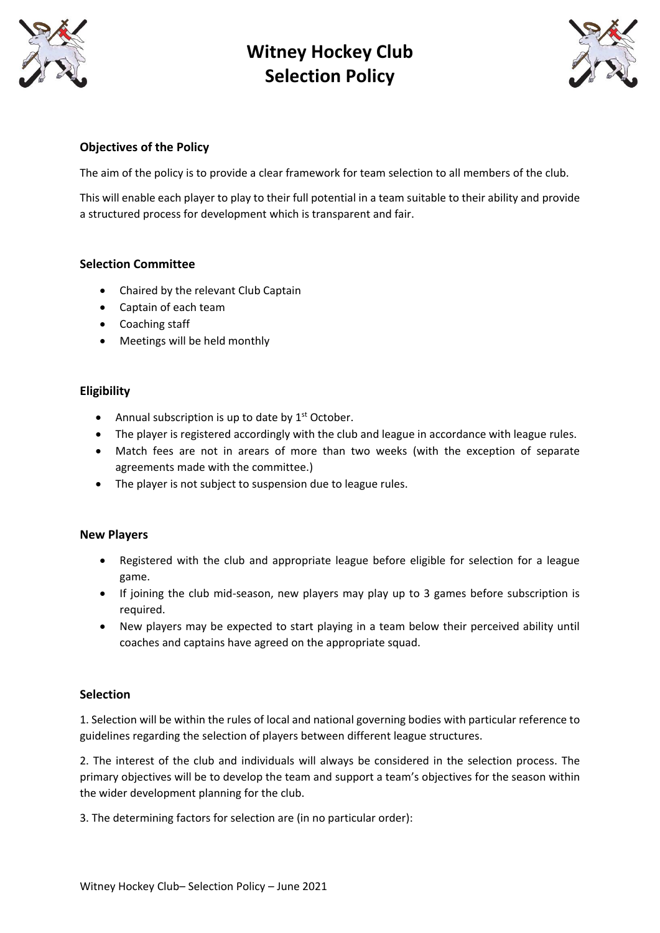



### **Objectives of the Policy**

The aim of the policy is to provide a clear framework for team selection to all members of the club.

This will enable each player to play to their full potential in a team suitable to their ability and provide a structured process for development which is transparent and fair.

### **Selection Committee**

- Chaired by the relevant Club Captain
- Captain of each team
- Coaching staff
- Meetings will be held monthly

### **Eligibility**

- Annual subscription is up to date by  $1<sup>st</sup>$  October.
- The player is registered accordingly with the club and league in accordance with league rules.
- Match fees are not in arears of more than two weeks (with the exception of separate agreements made with the committee.)
- The player is not subject to suspension due to league rules.

#### **New Players**

- Registered with the club and appropriate league before eligible for selection for a league game.
- If joining the club mid-season, new players may play up to 3 games before subscription is required.
- New players may be expected to start playing in a team below their perceived ability until coaches and captains have agreed on the appropriate squad.

#### **Selection**

1. Selection will be within the rules of local and national governing bodies with particular reference to guidelines regarding the selection of players between different league structures.

2. The interest of the club and individuals will always be considered in the selection process. The primary objectives will be to develop the team and support a team's objectives for the season within the wider development planning for the club.

3. The determining factors for selection are (in no particular order):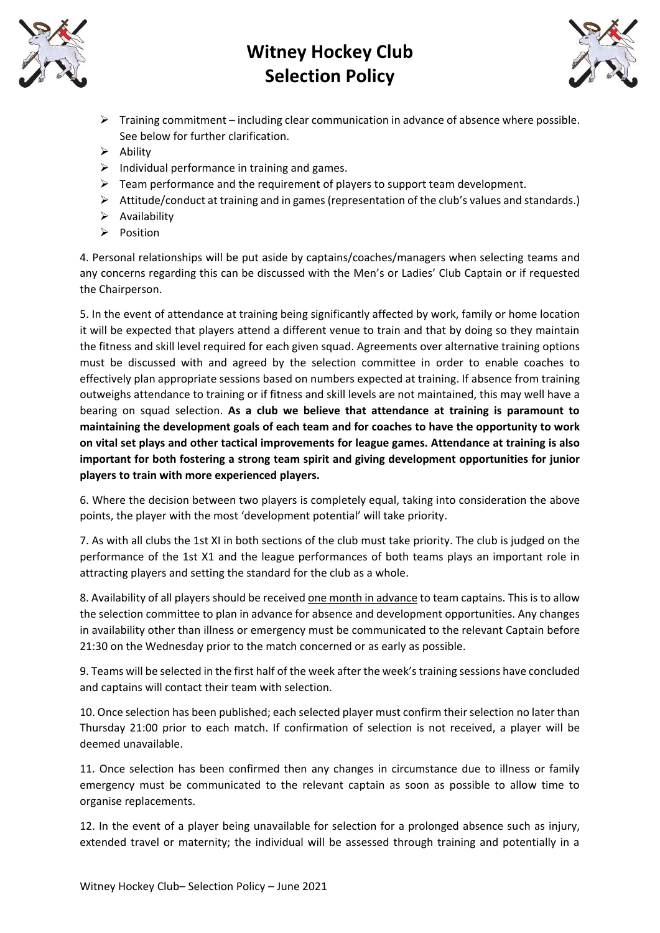



- $\triangleright$  Training commitment including clear communication in advance of absence where possible. See below for further clarification.
- ➢ Ability
- $\triangleright$  Individual performance in training and games.
- $\triangleright$  Team performance and the requirement of players to support team development.
- $\triangleright$  Attitude/conduct at training and in games (representation of the club's values and standards.)
- ➢ Availability
- ➢ Position

4. Personal relationships will be put aside by captains/coaches/managers when selecting teams and any concerns regarding this can be discussed with the Men's or Ladies' Club Captain or if requested the Chairperson.

5. In the event of attendance at training being significantly affected by work, family or home location it will be expected that players attend a different venue to train and that by doing so they maintain the fitness and skill level required for each given squad. Agreements over alternative training options must be discussed with and agreed by the selection committee in order to enable coaches to effectively plan appropriate sessions based on numbers expected at training. If absence from training outweighs attendance to training or if fitness and skill levels are not maintained, this may well have a bearing on squad selection. **As a club we believe that attendance at training is paramount to maintaining the development goals of each team and for coaches to have the opportunity to work on vital set plays and other tactical improvements for league games. Attendance at training is also important for both fostering a strong team spirit and giving development opportunities for junior players to train with more experienced players.**

6. Where the decision between two players is completely equal, taking into consideration the above points, the player with the most 'development potential' will take priority.

7. As with all clubs the 1st XI in both sections of the club must take priority. The club is judged on the performance of the 1st X1 and the league performances of both teams plays an important role in attracting players and setting the standard for the club as a whole.

8. Availability of all players should be received one month in advance to team captains. This is to allow the selection committee to plan in advance for absence and development opportunities. Any changes in availability other than illness or emergency must be communicated to the relevant Captain before 21:30 on the Wednesday prior to the match concerned or as early as possible.

9. Teams will be selected in the first half of the week after the week's training sessions have concluded and captains will contact their team with selection.

10. Once selection has been published; each selected player must confirm their selection no later than Thursday 21:00 prior to each match. If confirmation of selection is not received, a player will be deemed unavailable.

11. Once selection has been confirmed then any changes in circumstance due to illness or family emergency must be communicated to the relevant captain as soon as possible to allow time to organise replacements.

12. In the event of a player being unavailable for selection for a prolonged absence such as injury, extended travel or maternity; the individual will be assessed through training and potentially in a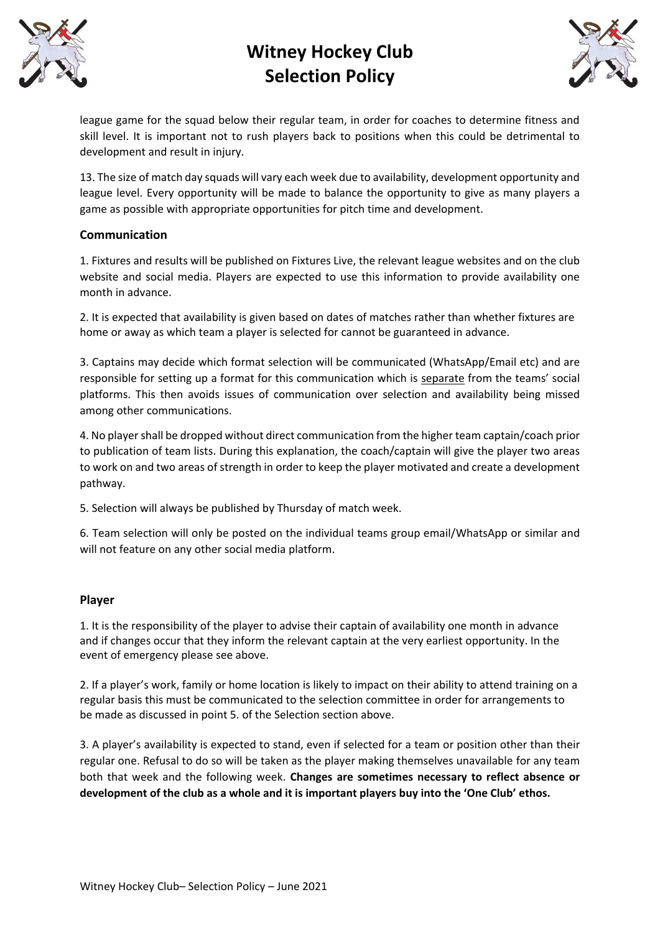



league game for the squad below their regular team, in order for coaches to determine fitness and skill level. It is important not to rush players back to positions when this could be detrimental to development and result in injury.

13. The size of match day squads will vary each week due to availability, development opportunity and league level. Every opportunity will be made to balance the opportunity to give as many players a game as possible with appropriate opportunities for pitch time and development.

### **Communication**

1. Fixtures and results will be published on Fixtures Live, the relevant league websites and on the club website and social media. Players are expected to use this information to provide availability one month in advance.

2. It is expected that availability is given based on dates of matches rather than whether fixtures are home or away as which team a player is selected for cannot be guaranteed in advance.

3. Captains may decide which format selection will be communicated (WhatsApp/Email etc) and are responsible for setting up a format for this communication which is separate from the teams' social platforms. This then avoids issues of communication over selection and availability being missed among other communications.

4. No player shall be dropped without direct communication from the higher team captain/coach prior to publication of team lists. During this explanation, the coach/captain will give the player two areas to work on and two areas of strength in order to keep the player motivated and create a development pathway.

5. Selection will always be published by Thursday of match week.

6. Team selection will only be posted on the individual teams group email/WhatsApp or similar and will not feature on any other social media platform.

### **Player**

1. It is the responsibility of the player to advise their captain of availability one month in advance and if changes occur that they inform the relevant captain at the very earliest opportunity. In the event of emergency please see above.

2. If a player's work, family or home location is likely to impact on their ability to attend training on a regular basis this must be communicated to the selection committee in order for arrangements to be made as discussed in point 5. of the Selection section above.

3. A player's availability is expected to stand, even if selected for a team or position other than their regular one. Refusal to do so will be taken as the player making themselves unavailable for any team both that week and the following week. **Changes are sometimes necessary to reflect absence or development of the club as a whole and it is important players buy into the 'One Club' ethos.**